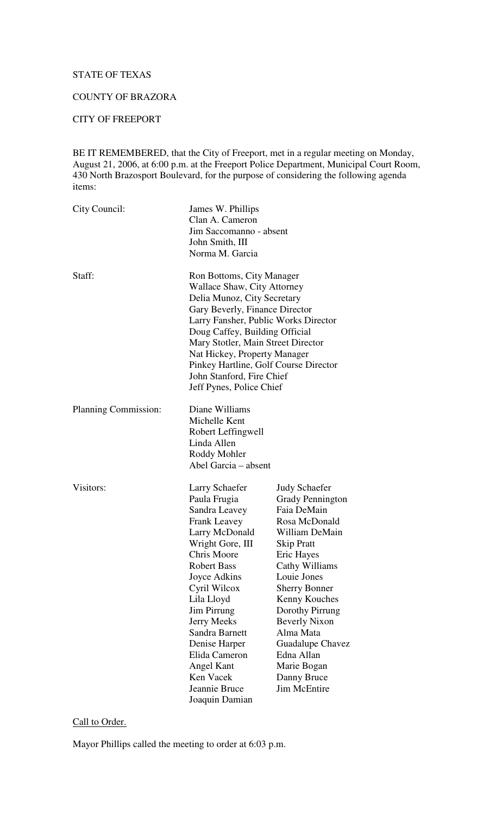# STATE OF TEXAS

# COUNTY OF BRAZORA

# CITY OF FREEPORT

BE IT REMEMBERED, that the City of Freeport, met in a regular meeting on Monday, August 21, 2006, at 6:00 p.m. at the Freeport Police Department, Municipal Court Room, 430 North Brazosport Boulevard, for the purpose of considering the following agenda items:

| City Council:        | James W. Phillips<br>Clan A. Cameron<br>Jim Saccomanno - absent<br>John Smith, III<br>Norma M. Garcia                                                                                                                                                                                                                                                                              |                                                                                                                                                                                                                                                                                                                                                                      |
|----------------------|------------------------------------------------------------------------------------------------------------------------------------------------------------------------------------------------------------------------------------------------------------------------------------------------------------------------------------------------------------------------------------|----------------------------------------------------------------------------------------------------------------------------------------------------------------------------------------------------------------------------------------------------------------------------------------------------------------------------------------------------------------------|
| Staff:               | Ron Bottoms, City Manager<br><b>Wallace Shaw, City Attorney</b><br>Delia Munoz, City Secretary<br>Gary Beverly, Finance Director<br>Larry Fansher, Public Works Director<br>Doug Caffey, Building Official<br>Mary Stotler, Main Street Director<br>Nat Hickey, Property Manager<br>Pinkey Hartline, Golf Course Director<br>John Stanford, Fire Chief<br>Jeff Pynes, Police Chief |                                                                                                                                                                                                                                                                                                                                                                      |
| Planning Commission: | Diane Williams<br>Michelle Kent<br>Robert Leffingwell<br>Linda Allen<br>Roddy Mohler<br>Abel Garcia – absent                                                                                                                                                                                                                                                                       |                                                                                                                                                                                                                                                                                                                                                                      |
| Visitors:            | Larry Schaefer<br>Paula Frugia<br>Sandra Leavey<br><b>Frank Leavey</b><br>Larry McDonald<br>Wright Gore, III<br>Chris Moore<br><b>Robert Bass</b><br>Joyce Adkins<br>Cyril Wilcox<br>Lila Lloyd<br>Jim Pirrung<br>Jerry Meeks<br>Sandra Barnett<br>Denise Harper<br>Elida Cameron<br>Angel Kant<br>Ken Vacek<br>Jeannie Bruce<br>Joaquin Damian                                    | <b>Judy Schaefer</b><br><b>Grady Pennington</b><br>Faia DeMain<br>Rosa McDonald<br>William DeMain<br><b>Skip Pratt</b><br>Eric Hayes<br><b>Cathy Williams</b><br>Louie Jones<br><b>Sherry Bonner</b><br>Kenny Kouches<br>Dorothy Pirrung<br><b>Beverly Nixon</b><br>Alma Mata<br>Guadalupe Chavez<br>Edna Allan<br>Marie Bogan<br>Danny Bruce<br><b>Jim McEntire</b> |

# Call to Order.

Mayor Phillips called the meeting to order at 6:03 p.m.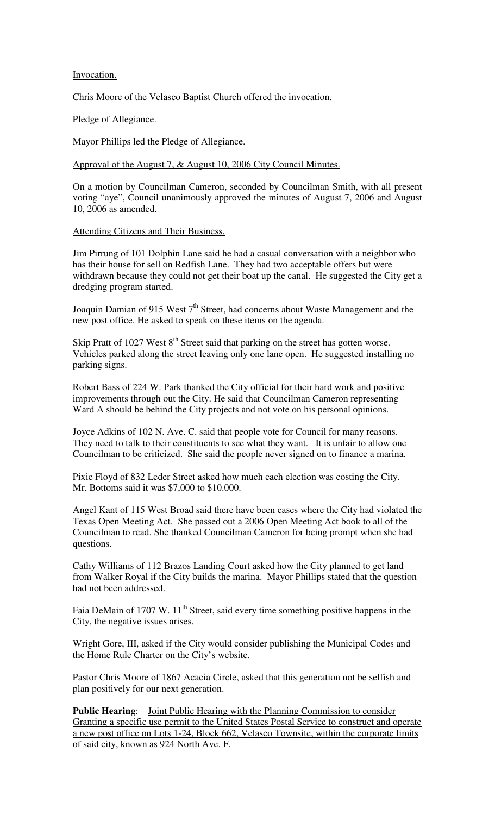#### Invocation.

Chris Moore of the Velasco Baptist Church offered the invocation.

Pledge of Allegiance.

Mayor Phillips led the Pledge of Allegiance.

Approval of the August 7, & August 10, 2006 City Council Minutes.

On a motion by Councilman Cameron, seconded by Councilman Smith, with all present voting "aye", Council unanimously approved the minutes of August 7, 2006 and August 10, 2006 as amended.

Attending Citizens and Their Business.

Jim Pirrung of 101 Dolphin Lane said he had a casual conversation with a neighbor who has their house for sell on Redfish Lane. They had two acceptable offers but were withdrawn because they could not get their boat up the canal. He suggested the City get a dredging program started.

Joaquin Damian of 915 West 7<sup>th</sup> Street, had concerns about Waste Management and the new post office. He asked to speak on these items on the agenda.

Skip Pratt of  $1027$  West  $8<sup>th</sup>$  Street said that parking on the street has gotten worse. Vehicles parked along the street leaving only one lane open. He suggested installing no parking signs.

Robert Bass of 224 W. Park thanked the City official for their hard work and positive improvements through out the City. He said that Councilman Cameron representing Ward A should be behind the City projects and not vote on his personal opinions.

Joyce Adkins of 102 N. Ave. C. said that people vote for Council for many reasons. They need to talk to their constituents to see what they want. It is unfair to allow one Councilman to be criticized. She said the people never signed on to finance a marina.

Pixie Floyd of 832 Leder Street asked how much each election was costing the City. Mr. Bottoms said it was \$7,000 to \$10.000.

Angel Kant of 115 West Broad said there have been cases where the City had violated the Texas Open Meeting Act. She passed out a 2006 Open Meeting Act book to all of the Councilman to read. She thanked Councilman Cameron for being prompt when she had questions.

Cathy Williams of 112 Brazos Landing Court asked how the City planned to get land from Walker Royal if the City builds the marina. Mayor Phillips stated that the question had not been addressed.

Faia DeMain of 1707 W. 11<sup>th</sup> Street, said every time something positive happens in the City, the negative issues arises.

Wright Gore, III, asked if the City would consider publishing the Municipal Codes and the Home Rule Charter on the City's website.

Pastor Chris Moore of 1867 Acacia Circle, asked that this generation not be selfish and plan positively for our next generation.

**Public Hearing**: Joint Public Hearing with the Planning Commission to consider Granting a specific use permit to the United States Postal Service to construct and operate a new post office on Lots 1-24, Block 662, Velasco Townsite, within the corporate limits of said city, known as 924 North Ave. F.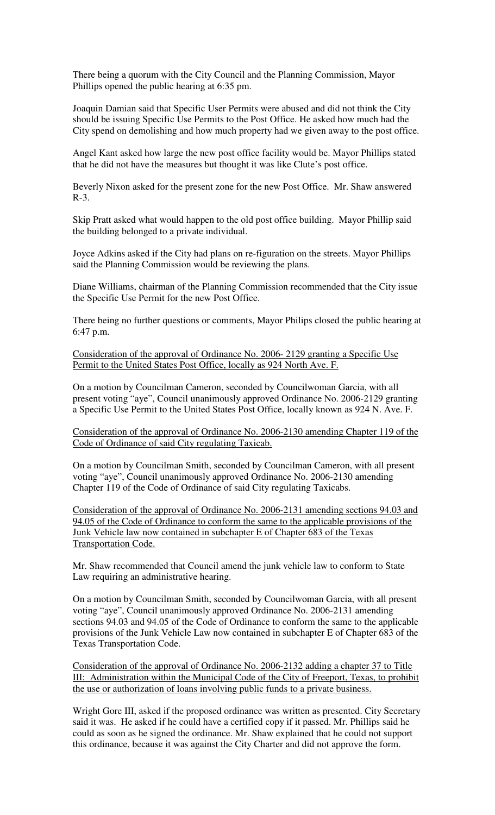There being a quorum with the City Council and the Planning Commission, Mayor Phillips opened the public hearing at 6:35 pm.

Joaquin Damian said that Specific User Permits were abused and did not think the City should be issuing Specific Use Permits to the Post Office. He asked how much had the City spend on demolishing and how much property had we given away to the post office.

Angel Kant asked how large the new post office facility would be. Mayor Phillips stated that he did not have the measures but thought it was like Clute's post office.

Beverly Nixon asked for the present zone for the new Post Office. Mr. Shaw answered R-3.

Skip Pratt asked what would happen to the old post office building. Mayor Phillip said the building belonged to a private individual.

Joyce Adkins asked if the City had plans on re-figuration on the streets. Mayor Phillips said the Planning Commission would be reviewing the plans.

Diane Williams, chairman of the Planning Commission recommended that the City issue the Specific Use Permit for the new Post Office.

There being no further questions or comments, Mayor Philips closed the public hearing at 6:47 p.m.

Consideration of the approval of Ordinance No. 2006- 2129 granting a Specific Use Permit to the United States Post Office, locally as 924 North Ave. F.

On a motion by Councilman Cameron, seconded by Councilwoman Garcia, with all present voting "aye", Council unanimously approved Ordinance No. 2006-2129 granting a Specific Use Permit to the United States Post Office, locally known as 924 N. Ave. F.

Consideration of the approval of Ordinance No. 2006-2130 amending Chapter 119 of the Code of Ordinance of said City regulating Taxicab.

On a motion by Councilman Smith, seconded by Councilman Cameron, with all present voting "aye", Council unanimously approved Ordinance No. 2006-2130 amending Chapter 119 of the Code of Ordinance of said City regulating Taxicabs.

Consideration of the approval of Ordinance No. 2006-2131 amending sections 94.03 and 94.05 of the Code of Ordinance to conform the same to the applicable provisions of the Junk Vehicle law now contained in subchapter E of Chapter 683 of the Texas Transportation Code.

Mr. Shaw recommended that Council amend the junk vehicle law to conform to State Law requiring an administrative hearing.

On a motion by Councilman Smith, seconded by Councilwoman Garcia, with all present voting "aye", Council unanimously approved Ordinance No. 2006-2131 amending sections 94.03 and 94.05 of the Code of Ordinance to conform the same to the applicable provisions of the Junk Vehicle Law now contained in subchapter E of Chapter 683 of the Texas Transportation Code.

Consideration of the approval of Ordinance No. 2006-2132 adding a chapter 37 to Title III: Administration within the Municipal Code of the City of Freeport, Texas, to prohibit the use or authorization of loans involving public funds to a private business.

Wright Gore III, asked if the proposed ordinance was written as presented. City Secretary said it was. He asked if he could have a certified copy if it passed. Mr. Phillips said he could as soon as he signed the ordinance. Mr. Shaw explained that he could not support this ordinance, because it was against the City Charter and did not approve the form.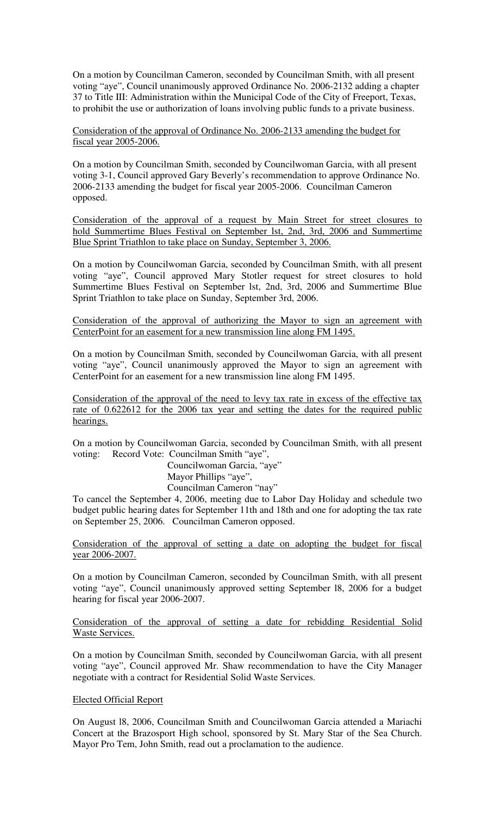On a motion by Councilman Cameron, seconded by Councilman Smith, with all present voting "aye", Council unanimously approved Ordinance No. 2006-2132 adding a chapter 37 to Title III: Administration within the Municipal Code of the City of Freeport, Texas, to prohibit the use or authorization of loans involving public funds to a private business.

Consideration of the approval of Ordinance No. 2006-2133 amending the budget for fiscal year 2005-2006.

On a motion by Councilman Smith, seconded by Councilwoman Garcia, with all present voting 3-1, Council approved Gary Beverly's recommendation to approve Ordinance No. 2006-2133 amending the budget for fiscal year 2005-2006. Councilman Cameron opposed.

Consideration of the approval of a request by Main Street for street closures to hold Summertime Blues Festival on September lst, 2nd, 3rd, 2006 and Summertime Blue Sprint Triathlon to take place on Sunday, September 3, 2006.

On a motion by Councilwoman Garcia, seconded by Councilman Smith, with all present voting "aye", Council approved Mary Stotler request for street closures to hold Summertime Blues Festival on September lst, 2nd, 3rd, 2006 and Summertime Blue Sprint Triathlon to take place on Sunday, September 3rd, 2006.

Consideration of the approval of authorizing the Mayor to sign an agreement with CenterPoint for an easement for a new transmission line along FM 1495.

On a motion by Councilman Smith, seconded by Councilwoman Garcia, with all present voting "aye", Council unanimously approved the Mayor to sign an agreement with CenterPoint for an easement for a new transmission line along FM 1495.

Consideration of the approval of the need to levy tax rate in excess of the effective tax rate of 0.622612 for the 2006 tax year and setting the dates for the required public hearings.

On a motion by Councilwoman Garcia, seconded by Councilman Smith, with all present voting: Record Vote: Councilman Smith "aye",

> Councilwoman Garcia, "aye" Mayor Phillips "aye", Councilman Cameron "nay"

To cancel the September 4, 2006, meeting due to Labor Day Holiday and schedule two budget public hearing dates for September 11th and 18th and one for adopting the tax rate on September 25, 2006. Councilman Cameron opposed.

Consideration of the approval of setting a date on adopting the budget for fiscal year 2006-2007.

On a motion by Councilman Cameron, seconded by Councilman Smith, with all present voting "aye", Council unanimously approved setting September l8, 2006 for a budget hearing for fiscal year 2006-2007.

Consideration of the approval of setting a date for rebidding Residential Solid Waste Services.

On a motion by Councilman Smith, seconded by Councilwoman Garcia, with all present voting "aye", Council approved Mr. Shaw recommendation to have the City Manager negotiate with a contract for Residential Solid Waste Services.

## Elected Official Report

On August l8, 2006, Councilman Smith and Councilwoman Garcia attended a Mariachi Concert at the Brazosport High school, sponsored by St. Mary Star of the Sea Church. Mayor Pro Tem, John Smith, read out a proclamation to the audience.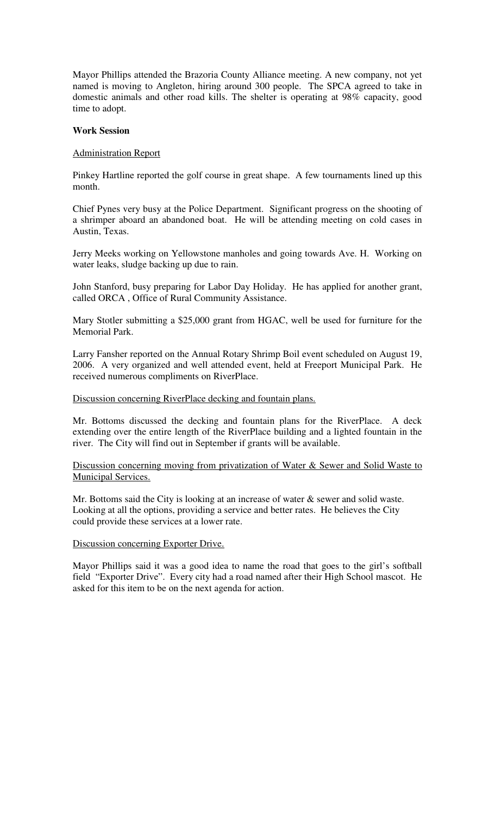Mayor Phillips attended the Brazoria County Alliance meeting. A new company, not yet named is moving to Angleton, hiring around 300 people. The SPCA agreed to take in domestic animals and other road kills. The shelter is operating at 98% capacity, good time to adopt.

#### **Work Session**

## Administration Report

Pinkey Hartline reported the golf course in great shape. A few tournaments lined up this month.

Chief Pynes very busy at the Police Department. Significant progress on the shooting of a shrimper aboard an abandoned boat. He will be attending meeting on cold cases in Austin, Texas.

Jerry Meeks working on Yellowstone manholes and going towards Ave. H. Working on water leaks, sludge backing up due to rain.

John Stanford, busy preparing for Labor Day Holiday. He has applied for another grant, called ORCA , Office of Rural Community Assistance.

Mary Stotler submitting a \$25,000 grant from HGAC, well be used for furniture for the Memorial Park.

Larry Fansher reported on the Annual Rotary Shrimp Boil event scheduled on August 19, 2006. A very organized and well attended event, held at Freeport Municipal Park. He received numerous compliments on RiverPlace.

## Discussion concerning RiverPlace decking and fountain plans.

Mr. Bottoms discussed the decking and fountain plans for the RiverPlace. A deck extending over the entire length of the RiverPlace building and a lighted fountain in the river. The City will find out in September if grants will be available.

## Discussion concerning moving from privatization of Water & Sewer and Solid Waste to Municipal Services.

Mr. Bottoms said the City is looking at an increase of water & sewer and solid waste. Looking at all the options, providing a service and better rates. He believes the City could provide these services at a lower rate.

#### Discussion concerning Exporter Drive.

Mayor Phillips said it was a good idea to name the road that goes to the girl's softball field "Exporter Drive". Every city had a road named after their High School mascot. He asked for this item to be on the next agenda for action.